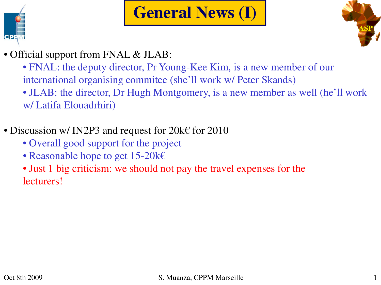

# **General News (I)**



- Official support from FNAL & JLAB:
	- FNAL: the deputy director, Pr Young-Kee Kim, is a new member of our international organising commitee (she'll work w/ Peter Skands)
	- JLAB: the director, Dr Hugh Montgomery, is a new member as well (he'll work w/ Latifa Elouadrhiri)
- Discussion w/ IN2P3 and request for  $20k \epsilon$  for  $2010$ 
	- Overall good support for the project
	- Reasonable hope to get 15-20k€
	- Just 1 big criticism: we should not pay the travel expenses for the lecturers!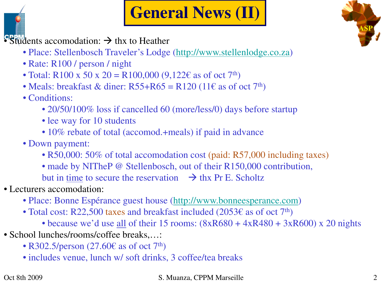

dents accomodation:  $\rightarrow$  thx to Heather

- Place: Stellenbosch Traveler's Lodge (http://www.stellenlodge.co.za)
- Rate: R100 / person / night
- Total: R100 x 50 x 20 = R100,000  $(9,122 \epsilon \text{ as of oct } 7^{\text{th}})$
- Meals: breakfast & diner:  $R55+R65 = R120$  (11€ as of oct 7<sup>th</sup>)
- Conditions:
	- 20/50/100% loss if cancelled 60 (more/less/0) days before startup
	- lee way for 10 students
	- 10% rebate of total (accomod.+meals) if paid in advance
- Down payment:
	- R50,000: 50% of total accomodation cost (paid: R57,000 including taxes)
	- made by NITheP @ Stellenbosch, out of their R150,000 contribution,
	- but in time to secure the reservation  $\rightarrow$  thx Pr E. Scholtz
- Lecturers accomodation:
	- Place: Bonne Espérance guest house (http://www.bonneesperance.com)
	- Total cost: R22,500 taxes and breakfast included (2053 $\epsilon$  as of oct 7<sup>th</sup>)
		- because we'd use all of their 15 rooms:  $(8xR680 + 4xR480 + 3xR600)$  x 20 nights
- School lunches/rooms/coffee breaks,...:
	- R302.5/person  $(27.60\epsilon)$  as of oct  $7<sup>th</sup>$ )
	- includes venue, lunch w/ soft drinks, 3 coffee/tea breaks

#### Oct 8th 2009 S. Muanza, CPPM Marseille 2

**ASP**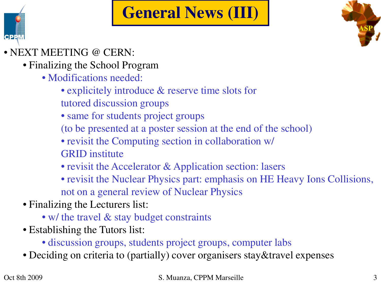# **General News (III)**



#### • NEXT MEETING @ CERN:

- Finalizing the School Program
	- Modifications needed:
		- explicitely introduce & reserve time slots for tutored discussion groups
		- same for students project groups
		- (to be presented at a poster session at the end of the school)
		- revisit the Computing section in collaboration w/ GRID institute
		- revisit the Accelerator & Application section: lasers
		- revisit the Nuclear Physics part: emphasis on HE Heavy Ions Collisions, not on a general review of Nuclear Physics
- Finalizing the Lecturers list:
	- w/ the travel & stay budget constraints
- Establishing the Tutors list:
	- discussion groups, students project groups, computer labs
- Deciding on criteria to (partially) cover organisers stay&travel expenses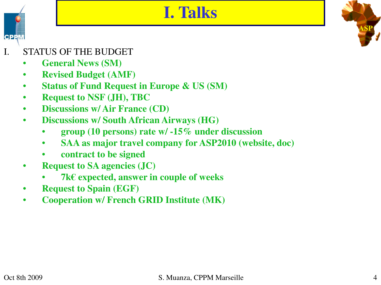### **I. Talks**

**ASP**

I. STATUS OF THE BUDGET

**CPP** 

- **General News (SM)**
- **Revised Budget (AMF)**
- **Status of Fund Request in Europe & US (SM)**
- **Request to NSF (JH), TBC**
- **Discussions w/ Air France (CD)**
- **Discussions w/ South African Airways (HG)**
	- **group (10 persons) rate w/ -15% under discussion**
	- **SAA as major travel company for ASP2010 (website, doc)**
	- **contract to be signed**
- **Request to SA agencies (JC)**
	- **7k€ expected, answer in couple of weeks**
- **Request to Spain (EGF)**
- **Cooperation w/ French GRID Institute (MK)**